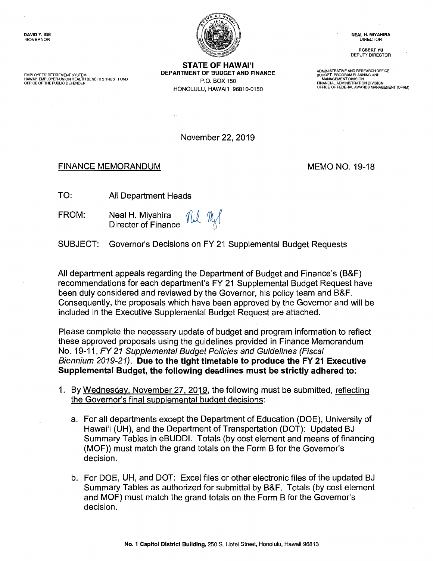

**STATE OF HAWAI'I**<br>DEPARTMENT OF BUDGET AND FINANCE EMPLOYEES' RETIREMENT SYSTEM DEPARTMENT OF BUDGET AND FINANCE ADMINISTRATIVE AND RESEARCH OFFICE AND RESEARCH OF<br>HAWAI'I EMPLOYER-UNION HEALTH BENEFITS TRUST FUND **DEPARTMENT OF BUDGET AND FINANCE AND RESEARCH PROGRAM PLAN** FINANCIAL ADMINISTRATION DIVISION HONOLULU, HAWAl'I 96810-0150 OFFICE OF FEDERAL AWARDS MANAGEMENT (OFAM)

ROBERT YU DEPUTY DIRECTOR

BUDGET, PROGRAM PLANNING AND

November 22, 2019

## FINANCE MEMORANDUM MEMO NO. 19-18

- TO: All Department Heads
- FROM: Neal H. Miyahira Director of Finance

SUBJECT: Governor's Decisions on FY 21 Supplemental Budget Requests

All department appeals regarding the Department of Budget and Finance's (B&F) recommendations for each department's FY 21 Supplemental Budget Request have been duly considered and reviewed by the Governor, his policy team and B&F. Consequently, the proposals which have been approved by the Governor and will be included in the Executive Supplemental Budget Request are attached.

Please complete the necessary update of budget and program information to reflect these approved proposals using the guidelines provided in Finance Memorandum No. 19-11, FY 21 Supplemental Budget Policies and Guidelines (Fiscal Biennium 2019-21). **Due to the tight timetable to produce the FY 21 Executive Supplemental Budget, the following deadlines must be strictly adhered to:** 

- 1. By Wednesday. November 27. 2019, the following must be submitted, reflecting the Governor's final supplemental budget decisions:
	- a. For all departments except the Department of Education (DOE), University of Hawai'i (UH), and the Department of Transportation (DOT): Updated BJ Summary Tables in eBUDDI. Totals (by cost element and means of financing (MOF)) must match the grand totals on the Form B for the Governor's decision.
	- b. For DOE, UH, and DOT: Excel files or other electronic files of the updated BJ Summary Tables as authorized for submittal by B&F. Totals (by cost element and MOF) must match the grand totals on the Form B for the Governor's decision.

**No. 1 Capitol District Building,** 250 S. Hotel Street, Honolulu, Hawaii 96813